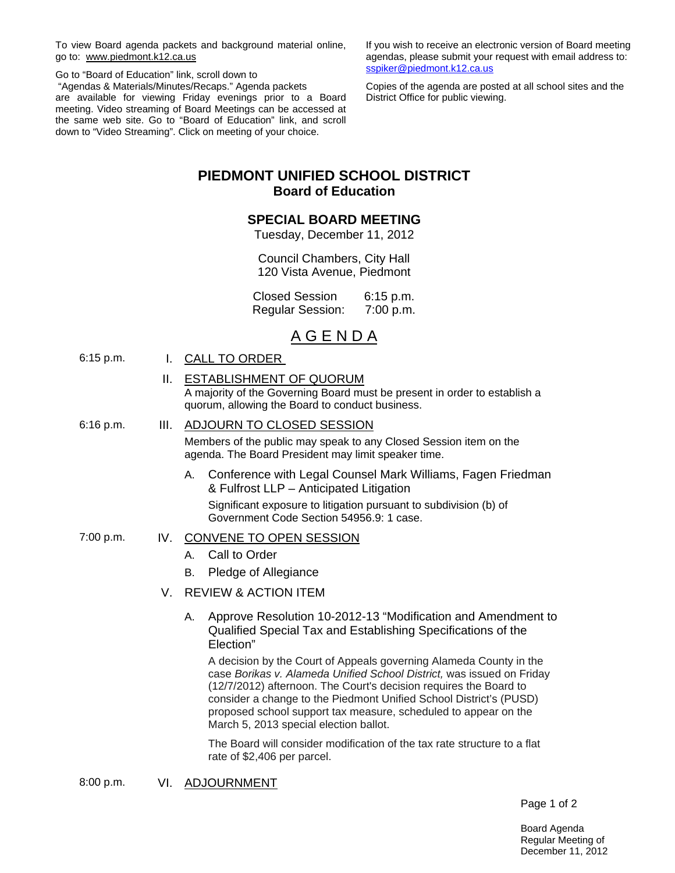To view Board agenda packets and background material online, go to: www.piedmont.k12.ca.us

Go to "Board of Education" link, scroll down to "Agendas & Materials/Minutes/Recaps." Agenda packets are available for viewing Friday evenings prior to a Board meeting. Video streaming of Board Meetings can be accessed at the same web site. Go to "Board of Education" link, and scroll down to "Video Streaming". Click on meeting of your choice.

If you wish to receive an electronic version of Board meeting agendas, please submit your request with email address to: sspiker@piedmont.k12.ca.us

Copies of the agenda are posted at all school sites and the District Office for public viewing.

# **PIEDMONT UNIFIED SCHOOL DISTRICT Board of Education**

# **SPECIAL BOARD MEETING**

Tuesday, December 11, 2012

Council Chambers, City Hall 120 Vista Avenue, Piedmont

Closed Session 6:15 p.m. Regular Session: 7:00 p.m.

# A G E N D A

- 6:15 p.m. I. CALL TO ORDER
	- II. ESTABLISHMENT OF QUORUM

A majority of the Governing Board must be present in order to establish a quorum, allowing the Board to conduct business.

# 6:16 p.m. III. ADJOURN TO CLOSED SESSION

Members of the public may speak to any Closed Session item on the agenda. The Board President may limit speaker time.

- A. Conference with Legal Counsel Mark Williams, Fagen Friedman & Fulfrost LLP – Anticipated Litigation Significant exposure to litigation pursuant to subdivision (b) of Government Code Section 54956.9: 1 case.
- 7:00 p.m. IV. CONVENE TO OPEN SESSION
	- A. Call to Order
	- B. Pledge of Allegiance
	- V. REVIEW & ACTION ITEM
		- A. Approve Resolution 10-2012-13 "Modification and Amendment to Qualified Special Tax and Establishing Specifications of the Election"

A decision by the Court of Appeals governing Alameda County in the case *Borikas v. Alameda Unified School District,* was issued on Friday (12/7/2012) afternoon. The Court's decision requires the Board to consider a change to the Piedmont Unified School District's (PUSD) proposed school support tax measure, scheduled to appear on the March 5, 2013 special election ballot.

The Board will consider modification of the tax rate structure to a flat rate of \$2,406 per parcel.

8:00 p.m. VI. ADJOURNMENT

Page 1 of 2

Board Agenda Regular Meeting of December 11, 2012